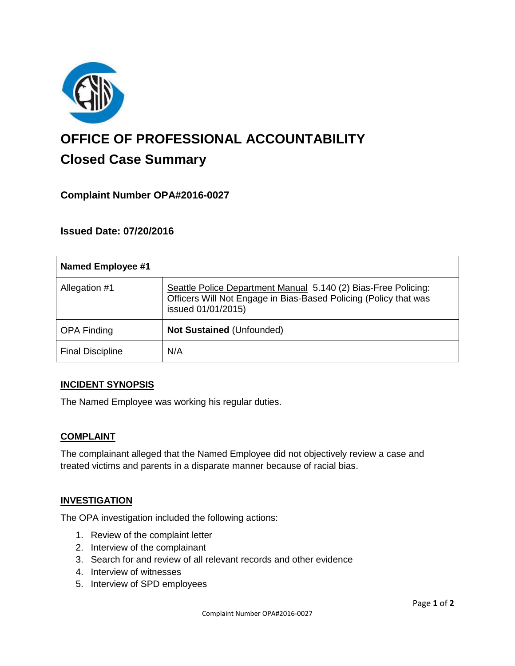

# **OFFICE OF PROFESSIONAL ACCOUNTABILITY Closed Case Summary**

# **Complaint Number OPA#2016-0027**

# **Issued Date: 07/20/2016**

| <b>Named Employee #1</b> |                                                                                                                                                          |
|--------------------------|----------------------------------------------------------------------------------------------------------------------------------------------------------|
| Allegation #1            | Seattle Police Department Manual 5.140 (2) Bias-Free Policing:<br>Officers Will Not Engage in Bias-Based Policing (Policy that was<br>issued 01/01/2015) |
| <b>OPA Finding</b>       | <b>Not Sustained (Unfounded)</b>                                                                                                                         |
| <b>Final Discipline</b>  | N/A                                                                                                                                                      |

## **INCIDENT SYNOPSIS**

The Named Employee was working his regular duties.

#### **COMPLAINT**

The complainant alleged that the Named Employee did not objectively review a case and treated victims and parents in a disparate manner because of racial bias.

## **INVESTIGATION**

The OPA investigation included the following actions:

- 1. Review of the complaint letter
- 2. Interview of the complainant
- 3. Search for and review of all relevant records and other evidence
- 4. Interview of witnesses
- 5. Interview of SPD employees